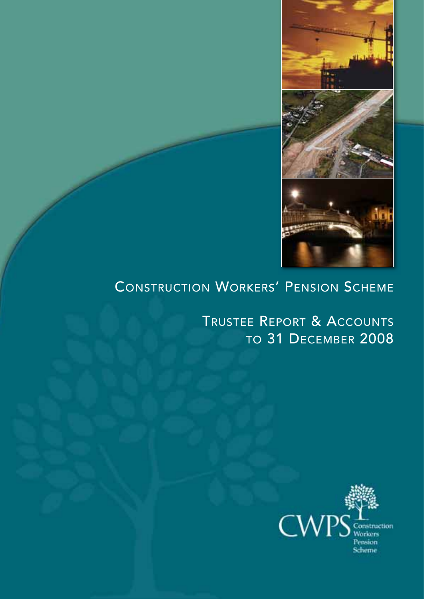

## CONSTRUCTION WORKERS' PENSION SCHEME

TRUSTEE REPORT & ACCOUNTS TO 31 DECEMBER 2008

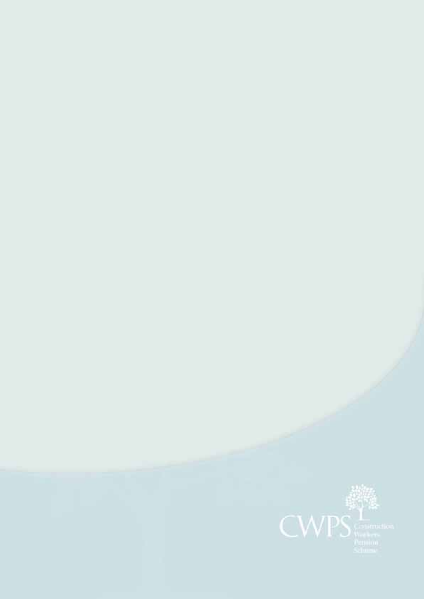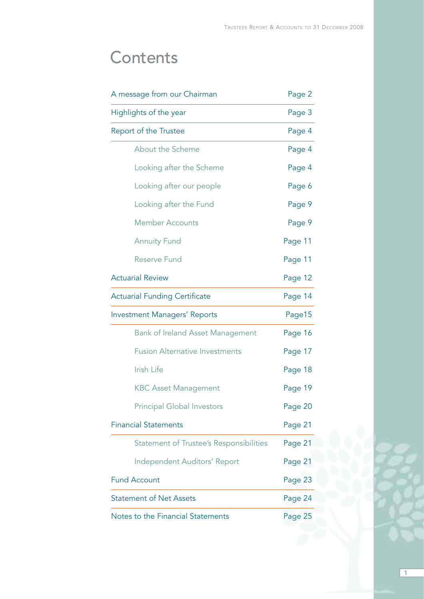$\boxed{1}$ 

# **Contents**

| A message from our Chairman             | Page 2  |  |
|-----------------------------------------|---------|--|
| Highlights of the year                  | Page 3  |  |
| Report of the Trustee                   | Page 4  |  |
| About the Scheme                        | Page 4  |  |
| Looking after the Scheme                | Page 4  |  |
| Looking after our people                | Page 6  |  |
| Looking after the Fund                  | Page 9  |  |
| <b>Member Accounts</b>                  | Page 9  |  |
| <b>Annuity Fund</b>                     | Page 11 |  |
| <b>Reserve Fund</b>                     | Page 11 |  |
| <b>Actuarial Review</b>                 | Page 12 |  |
| <b>Actuarial Funding Certificate</b>    | Page 14 |  |
| <b>Investment Managers' Reports</b>     | Page15  |  |
| <b>Bank of Ireland Asset Management</b> | Page 16 |  |
| <b>Fusion Alternative Investments</b>   | Page 17 |  |
| Irish Life                              | Page 18 |  |
| <b>KBC Asset Management</b>             | Page 19 |  |
| <b>Principal Global Investors</b>       | Page 20 |  |
| <b>Financial Statements</b>             | Page 21 |  |
| Statement of Trustee's Responsibilities | Page 21 |  |
| Independent Auditors' Report            | Page 21 |  |
| <b>Fund Account</b>                     | Page 23 |  |
| <b>Statement of Net Assets</b>          | Page 24 |  |
| Notes to the Financial Statements       | Page 25 |  |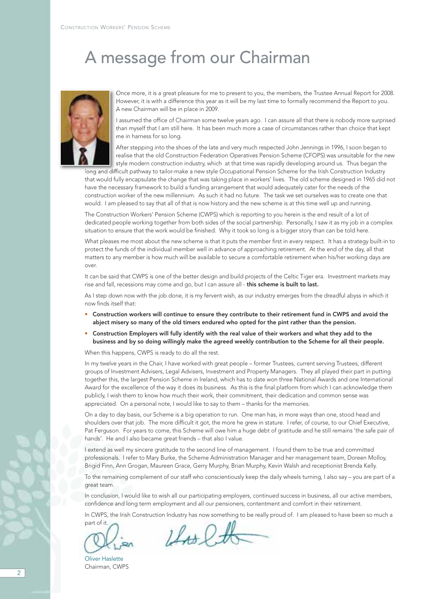## A message from our Chairman



Once more, it is a great pleasure for me to present to you, the members, the Trustee Annual Report for 2008. However, it is with a difference this year as it will be my last time to formally recommend the Report to you. A new Chairman will be in place in 2009.

I assumed the office of Chairman some twelve years ago. I can assure all that there is nobody more surprised than myself that I am still here. It has been much more a case of circumstances rather than choice that kept me in harness for so long.

After stepping into the shoes of the late and very much respected John Jennings in 1996, I soon began to realise that the old Construction Federation Operatives Pension Scheme (CFOPS) was unsuitable for the new style modern construction industry, which at that time was rapidly developing around us. Thus began the

long and difficult pathway to tailor-make a new style Occupational Pension Scheme for the Irish Construction Industry that would fully encapsulate the change that was taking place in workers' lives. The old scheme designed in 1965 did not have the necessary framework to build a funding arrangement that would adequately cater for the needs of the construction worker of the new millennium. As such it had no future. The task we set ourselves was to create one that would. I am pleased to say that all of that is now history and the new scheme is at this time well up and running.

The Construction Workers' Pension Scheme (CWPS) which is reporting to you herein is the end result of a lot of dedicated people working together from both sides of the social partnership. Personally, I saw it as my job in a complex situation to ensure that the work would be finished. Why it took so long is a bigger story than can be told here.

What pleases me most about the new scheme is that it puts the member first in every respect. It has a strategy built-in to protect the funds of the individual member well in advance of approaching retirement. At the end of the day, all that matters to any member is how much will be available to secure a comfortable retirement when his/her working days are over.

It can be said that CWPS is one of the better design and build projects of the Celtic Tiger era. Investment markets may rise and fall, recessions may come and go, but I can assure all - this scheme is built to last.

As I step down now with the job done, it is my fervent wish, as our industry emerges from the dreadful abyss in which it now finds itself that:

- Construction workers will continue to ensure they contribute to their retirement fund in CWPS and avoid the abject misery so many of the old timers endured who opted for the pint rather than the pension.
- Construction Employers will fully identify with the real value of their workers and what they add to the business and by so doing willingly make the agreed weekly contribution to the Scheme for all their people.

When this happens, CWPS is ready to do all the rest.

In my twelve years in the Chair, I have worked with great people – former Trustees, current serving Trustees, different groups of Investment Advisers, Legal Advisers, Investment and Property Managers. They all played their part in putting together this, the largest Pension Scheme in Ireland, which has to date won three National Awards and one International Award for the excellence of the way it does its business. As this is the final platform from which I can acknowledge them publicly, I wish them to know how much their work, their commitment, their dedication and common sense was appreciated. On a personal note, I would like to say to them – thanks for the memories.

On a day to day basis, our Scheme is a big operation to run. One man has, in more ways than one, stood head and shoulders over that job. The more difficult it got, the more he grew in stature. I refer, of course, to our Chief Executive, Pat Ferguson. For years to come, this Scheme will owe him a huge debt of gratitude and he still remains 'the safe pair of hands'. He and I also became great friends – that also I value.

I extend as well my sincere gratitude to the second line of management. I found them to be true and committed professionals. I refer to Mary Burke, the Scheme Administration Manager and her management team, Doreen Molloy, Brigid Finn, Ann Grogan, Maureen Grace, Gerry Murphy, Brian Murphy, Kevin Walsh and receptionist Brenda Kelly.

To the remaining complement of our staff who conscientiously keep the daily wheels turning, I also say – you are part of a great team.

In conclusion, I would like to wish all our participating employers, continued success in business, all our active members, confidence and long term employment and all our pensioners, contentment and comfort in their retirement.

In CWPS, the Irish Construction Industry has now something to be really proud of. I am pleased to have been so much a

part of it.

Oliver Haslette Chairman, CWPS

 $1402$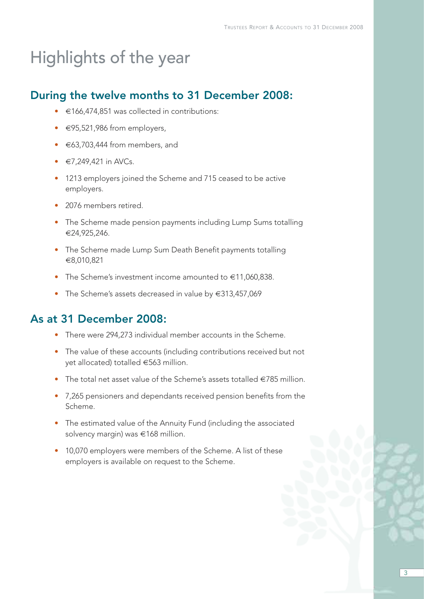# Highlights of the year

### During the twelve months to 31 December 2008:

- €166,474,851 was collected in contributions:
- €95,521,986 from employers,
- €63,703,444 from members, and
- $\in$  7,249,421 in AVCs.
- 1213 employers joined the Scheme and 715 ceased to be active employers.
- 2076 members retired.
- The Scheme made pension payments including Lump Sums totalling €24,925,246.
- The Scheme made Lump Sum Death Benefit payments totalling €8,010,821
- The Scheme's investment income amounted to €11,060,838.
- The Scheme's assets decreased in value by €313,457,069

### As at 31 December 2008:

- There were 294,273 individual member accounts in the Scheme.
- The value of these accounts (including contributions received but not yet allocated) totalled €563 million.
- The total net asset value of the Scheme's assets totalled  $\in$ 785 million.
- 7,265 pensioners and dependants received pension benefits from the Scheme.
- The estimated value of the Annuity Fund (including the associated solvency margin) was €168 million.
- 10,070 employers were members of the Scheme. A list of these employers is available on request to the Scheme.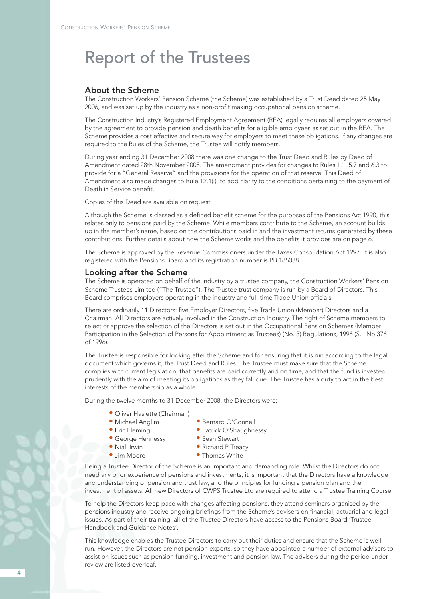#### About the Scheme

The Construction Workers' Pension Scheme (the Scheme) was established by a Trust Deed dated 25 May 2006, and was set up by the industry as a non-profit making occupational pension scheme.

The Construction Industry's Registered Employment Agreement (REA) legally requires all employers covered by the agreement to provide pension and death benefits for eligible employees as set out in the REA. The Scheme provides a cost effective and secure way for employers to meet these obligations. If any changes are required to the Rules of the Scheme, the Trustee will notify members.

During year ending 31 December 2008 there was one change to the Trust Deed and Rules by Deed of Amendment dated 28th November 2008. The amendment provides for changes to Rules 1.1, 5.7 and 6.3 to provide for a "General Reserve" and the provisions for the operation of that reserve. This Deed of Amendment also made changes to Rule 12.1(i) to add clarity to the conditions pertaining to the payment of Death in Service benefit.

Copies of this Deed are available on request.

Although the Scheme is classed as a defined benefit scheme for the purposes of the Pensions Act 1990, this relates only to pensions paid by the Scheme. While members contribute to the Scheme, an account builds up in the member's name, based on the contributions paid in and the investment returns generated by these contributions. Further details about how the Scheme works and the benefits it provides are on page 6.

The Scheme is approved by the Revenue Commissioners under the Taxes Consolidation Act 1997. It is also registered with the Pensions Board and its registration number is PB 185038.

#### Looking after the Scheme

The Scheme is operated on behalf of the industry by a trustee company, the Construction Workers' Pension Scheme Trustees Limited ("The Trustee"). The Trustee trust company is run by a Board of Directors. This Board comprises employers operating in the industry and full-time Trade Union officials.

There are ordinarily 11 Directors: five Employer Directors, five Trade Union (Member) Directors and a Chairman. All Directors are actively involved in the Construction Industry. The right of Scheme members to select or approve the selection of the Directors is set out in the Occupational Pension Schemes (Member Participation in the Selection of Persons for Appointment as Trustees) (No. 3) Regulations, 1996 (S.I. No 376 of 1996).

The Trustee is responsible for looking after the Scheme and for ensuring that it is run according to the legal document which governs it, the Trust Deed and Rules. The Trustee must make sure that the Scheme complies with current legislation, that benefits are paid correctly and on time, and that the fund is invested prudently with the aim of meeting its obligations as they fall due. The Trustee has a duty to act in the best interests of the membership as a whole.

During the twelve months to 31 December 2008, the Directors were:

- Oliver Haslette (Chairman)
- Michael Anglim Bernard O'Connell
- 
- 
- George Hennessy Sean Stewart<br>• Niall Irwin Richard P Trea
	-
- Eric Fleming  **Patrick O'Shaughnessy** 
	-
- Niall Irwin Richard P Treacy<br>• Jim Moore • • Thomas White
	-
- Thomas White

Being a Trustee Director of the Scheme is an important and demanding role. Whilst the Directors do not need any prior experience of pensions and investments, it is important that the Directors have a knowledge and understanding of pension and trust law, and the principles for funding a pension plan and the investment of assets. All new Directors of CWPS Trustee Ltd are required to attend a Trustee Training Course.

To help the Directors keep pace with changes affecting pensions, they attend seminars organised by the pensions industry and receive ongoing briefings from the Scheme's advisers on financial, actuarial and legal issues. As part of their training, all of the Trustee Directors have access to the Pensions Board 'Trustee Handbook and Guidance Notes'.

This knowledge enables the Trustee Directors to carry out their duties and ensure that the Scheme is well run. However, the Directors are not pension experts, so they have appointed a number of external advisers to assist on issues such as pension funding, investment and pension law. The advisers during the period under review are listed overleaf.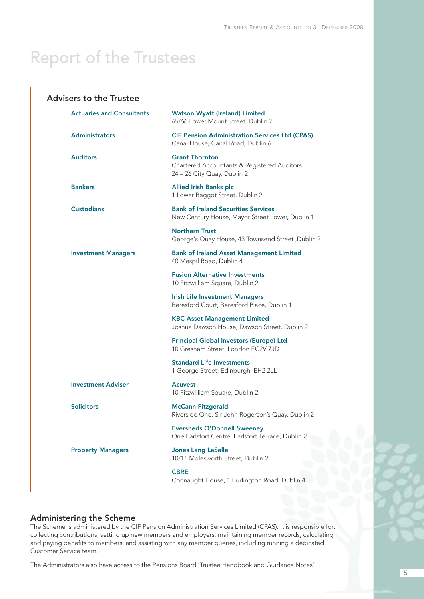| <b>Advisers to the Trustee</b>   |                                                                                                     |
|----------------------------------|-----------------------------------------------------------------------------------------------------|
| <b>Actuaries and Consultants</b> | <b>Watson Wyatt (Ireland) Limited</b><br>65/66 Lower Mount Street, Dublin 2                         |
| <b>Administrators</b>            | <b>CIF Pension Administration Services Ltd (CPAS)</b><br>Canal House, Canal Road, Dublin 6          |
| <b>Auditors</b>                  | <b>Grant Thornton</b><br>Chartered Accountants & Registered Auditors<br>24 - 26 City Quay, Dublin 2 |
| <b>Bankers</b>                   | <b>Allied Irish Banks plc</b><br>1 Lower Baggot Street, Dublin 2                                    |
| <b>Custodians</b>                | <b>Bank of Ireland Securities Services</b><br>New Century House, Mayor Street Lower, Dublin 1       |
|                                  | <b>Northern Trust</b><br>George's Quay House, 43 Townsend Street, Dublin 2                          |
| <b>Investment Managers</b>       | <b>Bank of Ireland Asset Management Limited</b><br>40 Mespil Road, Dublin 4                         |
|                                  | <b>Fusion Alternative Investments</b><br>10 Fitzwilliam Square, Dublin 2                            |
|                                  | <b>Irish Life Investment Managers</b><br>Beresford Court, Beresford Place, Dublin 1                 |
|                                  | <b>KBC Asset Management Limited</b><br>Joshua Dawson House, Dawson Street, Dublin 2                 |
|                                  | Principal Global Investors (Europe) Ltd<br>10 Gresham Street, London EC2V 7JD                       |
|                                  | <b>Standard Life Investments</b><br>1 George Street, Edinburgh, EH2 2LL                             |
| <b>Investment Adviser</b>        | <b>Acuvest</b><br>10 Fitzwilliam Square, Dublin 2                                                   |
| <b>Solicitors</b>                | <b>McCann Fitzgerald</b><br>Riverside One, Sir John Rogerson's Quay, Dublin 2                       |
|                                  | <b>Eversheds O'Donnell Sweeney</b><br>One Earlsfort Centre, Earlsfort Terrace, Dublin 2             |
| <b>Property Managers</b>         | <b>Jones Lang LaSalle</b><br>10/11 Molesworth Street, Dublin 2                                      |
|                                  | <b>CBRE</b><br>Connaught House, 1 Burlington Road, Dublin 4                                         |

### Administering the Scheme

The Scheme is administered by the CIF Pension Administration Services Limited (CPAS). It is responsible for: collecting contributions, setting up new members and employers, maintaining member records, calculating and paying benefits to members, and assisting with any member queries, including running a dedicated Customer Service team.

The Administrators also have access to the Pensions Board 'Trustee Handbook and Guidance Notes'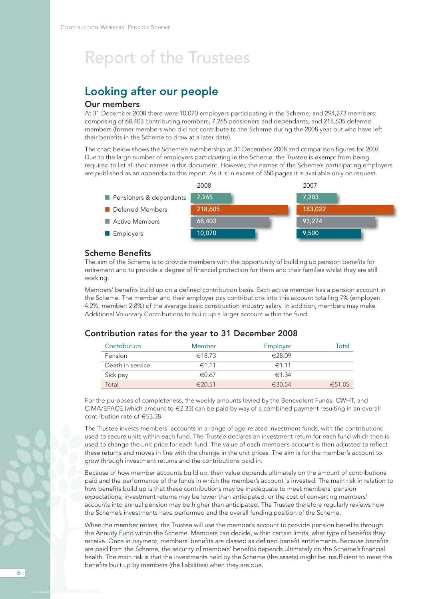## Looking after our people

### Our members

At 31 December 2008 there were 10,070 employers participating in the Scheme, and 294,273 members: comprising of 68,403 contributing members, 7,265 pensioners and dependants, and 218,605 deferred members (former members who did not contribute to the Scheme during the 2008 year but who have left their benefits in the Scheme to draw at a later date).

The chart below shows the Scheme's membership at 31 December 2008 and comparison figures for 2007. Due to the large number of employers participating in the Scheme, the Trustee is exempt from being required to list all their names in this document. However, the names of the Scheme's participating employers are published as an appendix to this report. As it is in excess of 350 pages it is available only on request.



#### Scheme Benefits

The aim of the Scheme is to provide members with the opportunity of building up pension benefits for retirement and to provide a degree of financial protection for them and their families whilst they are still working.

Members' benefits build up on a defined contribution basis. Each active member has a pension account in the Scheme. The member and their employer pay contributions into this account totalling 7% (employer: 4.2%, member: 2.8%) of the average basic construction industry salary. In addition, members may make Additional Voluntary Contributions to build up a larger account within the fund.

### Contribution rates for the year to 31 December 2008

| Contribution     | Member     | Employer         | Total  |
|------------------|------------|------------------|--------|
| Pension          | €18.73     | $\epsilon$ 28.09 |        |
| Death in service | $\in$ 1.11 | $\in$ 11         |        |
| Sick pay         | €0.67      | $\in$ 1.34       |        |
| Total            | €2051      | 63054            | €51.05 |

For the purposes of completeness, the weekly amounts levied by the Benevolent Funds, CWHT, and CIMA/EPACE (which amount to €2.33) can be paid by way of a combined payment resulting in an overall contribution rate of €53.38

The Trustee invests members' accounts in a range of age-related investment funds, with the contributions used to secure units within each fund. The Trustee declares an investment return for each fund which then is used to change the unit price for each fund. The value of each member's account is then adjusted to reflect these returns and moves in line with the change in the unit prices. The aim is for the member's account to grow through investment returns and the contributions paid in.

Because of how member accounts build up, their value depends ultimately on the amount of contributions paid and the performance of the funds in which the member's account is invested. The main risk in relation to how benefits build up is that these contributions may be inadequate to meet members' pension expectations, investment returns may be lower than anticipated, or the cost of converting members' accounts into annual pension may be higher than anticipated. The Trustee therefore regularly reviews how the Scheme's investments have performed and the overall funding position of the Scheme.

When the member retires, the Trustee will use the member's account to provide pension benefits through the Annuity Fund within the Scheme. Members can decide, within certain limits, what type of benefits they receive. Once in payment, members' benefits are classed as defined benefit entitlements. Because benefits are paid from the Scheme, the security of members' benefits depends ultimately on the Scheme's financial health. The main risk is that the investments held by the Scheme (the assets) might be insufficient to meet the benefits built up by members (the liabilities) when they are due.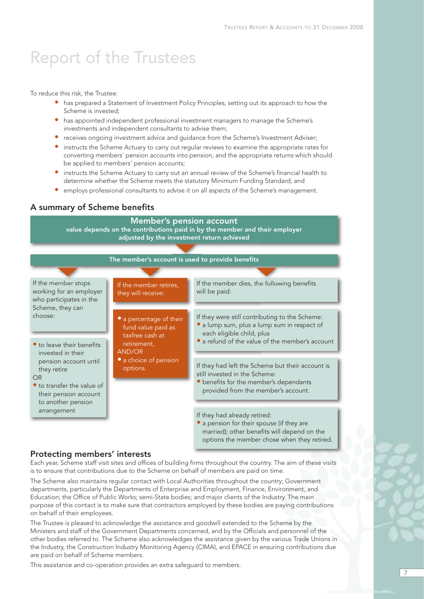To reduce this risk, the Trustee:

- has prepared a Statement of Investment Policy Principles, setting out its approach to how the Scheme is invested;
- has appointed independent professional investment managers to manage the Scheme's investments and independent consultants to advise them;
- receives ongoing investment advice and guidance from the Scheme's Investment Adviser;
- instructs the Scheme Actuary to carry out regular reviews to examine the appropriate rates for converting members' pension accounts into pension, and the appropriate returns which should be applied to members' pension accounts;
- instructs the Scheme Actuary to carry out an annual review of the Scheme's financial health to determine whether the Scheme meets the statutory Minimum Funding Standard; and
- employs professional consultants to advise it on all aspects of the Scheme's management.

#### A summary of Scheme benefits

#### Member's pension account value depends on the contributions paid in by the member and their employer adjusted by the investment return achieved The member's account is used to provide benefits If the member stops working for an employer who participates in the Scheme, they can choose: • to leave their benefits invested in their pension account until they retire OR • to transfer the value of their pension account to another pension arrangement If the member dies, the following benefits will be paid: If they were still contributing to the Scheme: • a lump sum, plus a lump sum in respect of each eligible child, plus • a refund of the value of the member's account If they had left the Scheme but their account is still invested in the Scheme: • benefits for the member's dependants provided from the member's account. If they had already retired: • a pension for their spouse (if they are married); other benefits will depend on the If the member retires, they will receive: • a percentage of their fund value paid as taxfree cash at retirement, AND/OR • a choice of pension options.

#### Protecting members' interests

Each year, Scheme staff visit sites and offices of building firms throughout the country. The aim of these visits is to ensure that contributions due to the Scheme on behalf of members are paid on time.

options the member chose when they retired.

The Scheme also maintains regular contact with Local Authorities throughout the country; Government departments, particularly the Departments of Enterprise and Employment, Finance, Environment, and Education; the Office of Public Works; semi-State bodies; and major clients of the Industry. The main purpose of this contact is to make sure that contractors employed by these bodies are paying contributions on behalf of their employees.

The Trustee is pleased to acknowledge the assistance and goodwill extended to the Scheme by the Ministers and staff of the Government Departments concerned, and by the Officials and personnel of the other bodies referred to. The Scheme also acknowledges the assistance given by the various Trade Unions in the Industry, the Construction Industry Monitoring Agency (CIMA), and EPACE in ensuring contributions due are paid on behalf of Scheme members.

This assistance and co-operation provides an extra safeguard to members.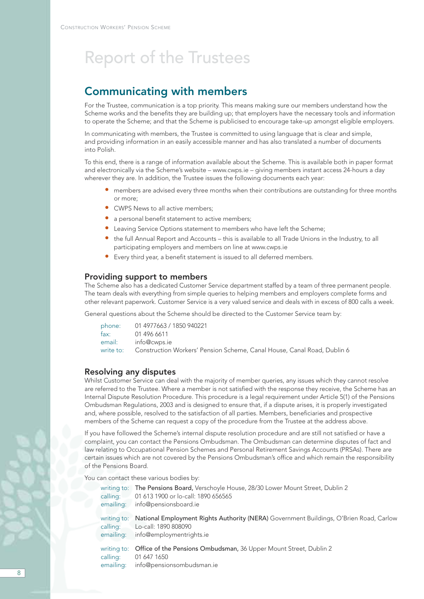### Communicating with members

For the Trustee, communication is a top priority. This means making sure our members understand how the Scheme works and the benefits they are building up; that employers have the necessary tools and information to operate the Scheme; and that the Scheme is publicised to encourage take-up amongst eligible employers.

In communicating with members, the Trustee is committed to using language that is clear and simple, and providing information in an easily accessible manner and has also translated a number of documents into Polish.

To this end, there is a range of information available about the Scheme. This is available both in paper format and electronically via the Scheme's website – www.cwps.ie – giving members instant access 24-hours a day wherever they are. In addition, the Trustee issues the following documents each year:

- members are advised every three months when their contributions are outstanding for three months or more;
- CWPS News to all active members;
- a personal benefit statement to active members;
- Leaving Service Options statement to members who have left the Scheme;
- the full Annual Report and Accounts this is available to all Trade Unions in the Industry, to all participating employers and members on line at www.cwps.ie
- Every third year, a benefit statement is issued to all deferred members.

#### Providing support to members

The Scheme also has a dedicated Customer Service department staffed by a team of three permanent people. The team deals with everything from simple queries to helping members and employers complete forms and other relevant paperwork. Customer Service is a very valued service and deals with in excess of 800 calls a week.

General questions about the Scheme should be directed to the Customer Service team by:

|        | phone: 01 4977663 / 1850 940221                                                   |
|--------|-----------------------------------------------------------------------------------|
| fax: l | 01 496 6611                                                                       |
|        | email: info@cwps.ie                                                               |
|        | write to: Construction Workers' Pension Scheme, Canal House, Canal Road, Dublin 6 |

#### Resolving any disputes

Whilst Customer Service can deal with the majority of member queries, any issues which they cannot resolve are referred to the Trustee. Where a member is not satisfied with the response they receive, the Scheme has an Internal Dispute Resolution Procedure. This procedure is a legal requirement under Article 5(1) of the Pensions Ombudsman Regulations, 2003 and is designed to ensure that, if a dispute arises, it is properly investigated and, where possible, resolved to the satisfaction of all parties. Members, beneficiaries and prospective members of the Scheme can request a copy of the procedure from the Trustee at the address above.

If you have followed the Scheme's internal dispute resolution procedure and are still not satisfied or have a complaint, you can contact the Pensions Ombudsman. The Ombudsman can determine disputes of fact and law relating to Occupational Pension Schemes and Personal Retirement Savings Accounts (PRSAs). There are certain issues which are not covered by the Pensions Ombudsman's office and which remain the responsibility of the Pensions Board.

You can contact these various bodies by:

| writing to:             | The Pensions Board, Verschoyle House, 28/30 Lower Mount Street, Dublin 2                                                |
|-------------------------|-------------------------------------------------------------------------------------------------------------------------|
| calling:                | 01 613 1900 or lo-call: 1890 656565                                                                                     |
| emailing:               | info@pensionsboard.ie                                                                                                   |
| writing to:             | National Employment Rights Authority (NERA) Government Buildings, O'Brien Road, Carlow                                  |
| calling:                | Lo-call: 1890 808090                                                                                                    |
| emailing:               | info@employmentrights.ie                                                                                                |
| writing to:<br>calling: | Office of the Pensions Ombudsman, 36 Upper Mount Street, Dublin 2<br>01 647 1650<br>emailing: info@pensionsombudsman.ie |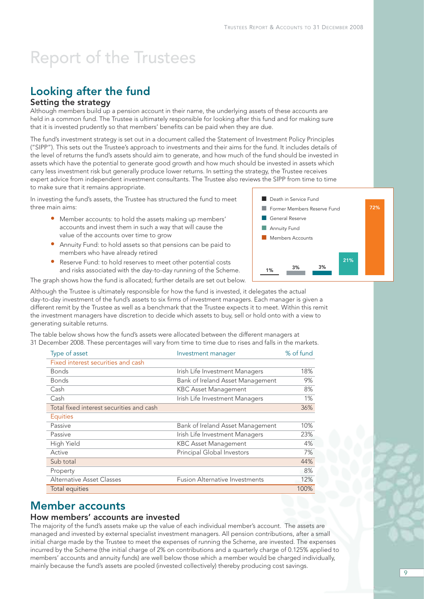## Looking after the fund

### Setting the strategy

Although members build up a pension account in their name, the underlying assets of these accounts are held in a common fund. The Trustee is ultimately responsible for looking after this fund and for making sure that it is invested prudently so that members' benefits can be paid when they are due.

The fund's investment strategy is set out in a document called the Statement of Investment Policy Principles ("SIPP"). This sets out the Trustee's approach to investments and their aims for the fund. It includes details of the level of returns the fund's assets should aim to generate, and how much of the fund should be invested in assets which have the potential to generate good growth and how much should be invested in assets which carry less investment risk but generally produce lower returns. In setting the strategy, the Trustee receives expert advice from independent investment consultants. The Trustee also reviews the SIPP from time to time to make sure that it remains appropriate.

In investing the fund's assets, the Trustee has structured the fund to meet three main aims:

- Member accounts: to hold the assets making up members' accounts and invest them in such a way that will cause the value of the accounts over time to grow
- Annuity Fund: to hold assets so that pensions can be paid to members who have already retired
- Reserve Fund: to hold reserves to meet other potential costs and risks associated with the day-to-day running of the Scheme.

The graph shows how the fund is allocated; further details are set out below.



Although the Trustee is ultimately responsible for how the fund is invested, it delegates the actual day-to-day investment of the fund's assets to six firms of investment managers. Each manager is given a different remit by the Trustee as well as a benchmark that the Trustee expects it to meet. Within this remit the investment managers have discretion to decide which assets to buy, sell or hold onto with a view to generating suitable returns.

The table below shows how the fund's assets were allocated between the different managers at 31 December 2008. These percentages will vary from time to time due to rises and falls in the markets.

| Type of asset                            | Investment manager                    | % of fund |
|------------------------------------------|---------------------------------------|-----------|
| Fixed interest securities and cash       |                                       |           |
| <b>Bonds</b>                             | Irish Life Investment Managers        | 18%       |
| <b>Bonds</b>                             | Bank of Ireland Asset Management      | 9%        |
| Cash                                     | <b>KBC Asset Management</b>           | 8%        |
| Cash                                     | Irish Life Investment Managers        | 1%        |
| Total fixed interest securities and cash |                                       | 36%       |
| <b>Equities</b>                          |                                       |           |
| Passive                                  | Bank of Ireland Asset Management      | 10%       |
| Passive                                  | Irish Life Investment Managers        | 23%       |
| <b>High Yield</b>                        | <b>KBC Asset Management</b>           | 4%        |
| Active                                   | Principal Global Investors            | 7%        |
| Sub total                                |                                       | 44%       |
| Property                                 |                                       | 8%        |
| Alternative Asset Classes                | <b>Fusion Alternative Investments</b> | 12%       |
| Total equities                           |                                       | 100%      |

### Member accounts

#### How members' accounts are invested

The majority of the fund's assets make up the value of each individual member's account. The assets are managed and invested by external specialist investment managers. All pension contributions, after a small initial charge made by the Trustee to meet the expenses of running the Scheme, are invested. The expenses incurred by the Scheme (the initial charge of 2% on contributions and a quarterly charge of 0.125% applied to members' accounts and annuity funds) are well below those which a member would be charged individually, mainly because the fund's assets are pooled (invested collectively) thereby producing cost savings.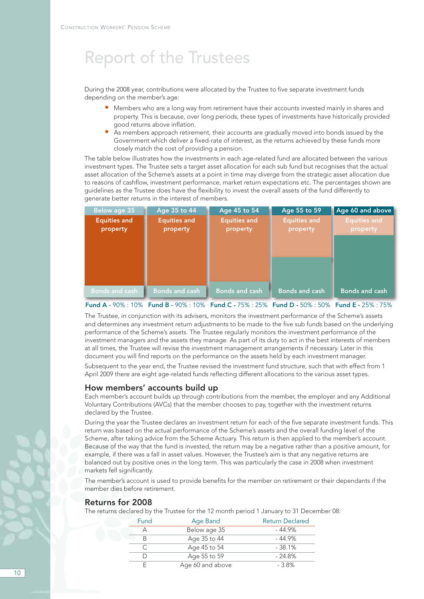During the 2008 year, contributions were allocated by the Trustee to five separate investment funds depending on the member's age:

- Members who are a long way from retirement have their accounts invested mainly in shares and property. This is because, over long periods, these types of investments have historically provided good returns above inflation.
- As members approach retirement, their accounts are gradually moved into bonds issued by the Government which deliver a fixed-rate of interest, as the returns achieved by these funds more closely match the cost of providing a pension.

The table below illustrates how the investments in each age-related fund are allocated between the various investment types. The Trustee sets a target asset allocation for each sub fund but recognises that the actual asset allocation of the Scheme's assets at a point in time may diverge from the strategic asset allocation due to reasons of cashflow, investment performance, market return expectations etc. The percentages shown are guidelines as the Trustee does have the flexibility to invest the overall assets of the fund differently to generate better returns in the interest of members.

| Below age 35                    | Age 35 to 44                    | Age 45 to 54                                                                                                                                                              | Age 55 to 59                    | Age 60 and above         |
|---------------------------------|---------------------------------|---------------------------------------------------------------------------------------------------------------------------------------------------------------------------|---------------------------------|--------------------------|
| <b>Equities and</b><br>property | <b>Equities and</b><br>property | <b>Equities and</b><br>property                                                                                                                                           | <b>Equities and</b><br>property | Equities and<br>property |
|                                 |                                 |                                                                                                                                                                           |                                 |                          |
|                                 |                                 |                                                                                                                                                                           |                                 |                          |
| <b>Bonds and cash</b>           | <b>Bonds and cash</b>           | <b>Bonds and cash</b>                                                                                                                                                     | <b>Bonds and cash</b>           | <b>Bonds and cash</b>    |
|                                 |                                 | $F_{\text{total}}$ A $0.00$ (100) $F_{\text{total}}$ B $0.00$ (100) $F_{\text{total}}$ $C$ (750) $0.000$ $F_{\text{total}}$ B $0.00$ $F_{\text{total}}$ $F$ (050) $0.750$ |                                 |                          |

Fund A - 90% : 10% Fund B - 90% : 10% Fund C - 75% : 25% Fund D - 50% : 50% Fund E - 25% : 75%

The Trustee, in conjunction with its advisers, monitors the investment performance of the Scheme's assets and determines any investment return adjustments to be made to the five sub funds based on the underlying performance of the Scheme's assets. The Trustee regularly monitors the investment performance of the investment managers and the assets they manage. As part of its duty to act in the best interests of members at all times, the Trustee will revise the investment management arrangements if necessary. Later in this document you will find reports on the performance on the assets held by each investment manager.

Subsequent to the year end, the Trustee revised the investment fund structure, such that with effect from 1 April 2009 there are eight age-related funds reflecting different allocations to the various asset types.

#### How members' accounts build up

Each member's account builds up through contributions from the member, the employer and any Additional Voluntary Contributions (AVCs) that the member chooses to pay, together with the investment returns declared by the Trustee.

During the year the Trustee declares an investment return for each of the five separate investment funds. This return was based on the actual performance of the Scheme's assets and the overall funding level of the Scheme, after taking advice from the Scheme Actuary. This return is then applied to the member's account. Because of the way that the fund is invested, the return may be a negative rather than a positive amount, for example, if there was a fall in asset values. However, the Trustee's aim is that any negative returns are balanced out by positive ones in the long term. This was particularly the case in 2008 when investment markets fell significantly.

The member's account is used to provide benefits for the member on retirement or their dependants if the member dies before retirement.

#### Returns for 2008

The returns declared by the Trustee for the 12 month period 1 January to 31 December 08:

| Fund | Age Band         | <b>Return Declared</b> |
|------|------------------|------------------------|
|      | Below age 35     | - 44.9%                |
| R    | Age 35 to 44     | $-44.9\%$              |
|      | Age 45 to 54     | $-38.1%$               |
|      | Age 55 to 59     | $-24.8\%$              |
|      | Age 60 and above | - 3.8%                 |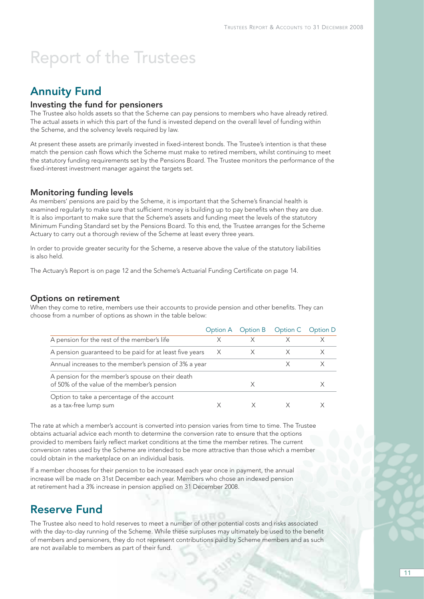### Annuity Fund

#### Investing the fund for pensioners

The Trustee also holds assets so that the Scheme can pay pensions to members who have already retired. The actual assets in which this part of the fund is invested depend on the overall level of funding within the Scheme, and the solvency levels required by law.

At present these assets are primarily invested in fixed-interest bonds. The Trustee's intention is that these match the pension cash flows which the Scheme must make to retired members, whilst continuing to meet the statutory funding requirements set by the Pensions Board. The Trustee monitors the performance of the fixed-interest investment manager against the targets set.

#### Monitoring funding levels

As members' pensions are paid by the Scheme, it is important that the Scheme's financial health is examined regularly to make sure that sufficient money is building up to pay benefits when they are due. It is also important to make sure that the Scheme's assets and funding meet the levels of the statutory Minimum Funding Standard set by the Pensions Board. To this end, the Trustee arranges for the Scheme Actuary to carry out a thorough review of the Scheme at least every three years.

In order to provide greater security for the Scheme, a reserve above the value of the statutory liabilities is also held.

The Actuary's Report is on page 12 and the Scheme's Actuarial Funding Certificate on page 14.

#### Options on retirement

When they come to retire, members use their accounts to provide pension and other benefits. They can choose from a number of options as shown in the table below:

|                                                                                                 |   | Option A Option B Option C |   | Option D |
|-------------------------------------------------------------------------------------------------|---|----------------------------|---|----------|
| A pension for the rest of the member's life                                                     | Х | X                          | X |          |
| A pension guaranteed to be paid for at least five years                                         | X |                            |   |          |
| Annual increases to the member's pension of 3% a year                                           |   |                            |   |          |
| A pension for the member's spouse on their death<br>of 50% of the value of the member's pension |   |                            |   |          |
| Option to take a percentage of the account<br>as a tax-free lump sum                            |   |                            |   |          |

The rate at which a member's account is converted into pension varies from time to time. The Trustee obtains actuarial advice each month to determine the conversion rate to ensure that the options provided to members fairly reflect market conditions at the time the member retires. The current conversion rates used by the Scheme are intended to be more attractive than those which a member could obtain in the marketplace on an individual basis.

If a member chooses for their pension to be increased each year once in payment, the annual increase will be made on 31st December each year. Members who chose an indexed pension at retirement had a 3% increase in pension applied on 31 December 2008.

### Reserve Fund

The Trustee also need to hold reserves to meet a number of other potential costs and risks associated with the day-to-day running of the Scheme. While these surpluses may ultimately be used to the benefit of members and pensioners, they do not represent contributions paid by Scheme members and as such are not available to members as part of their fund.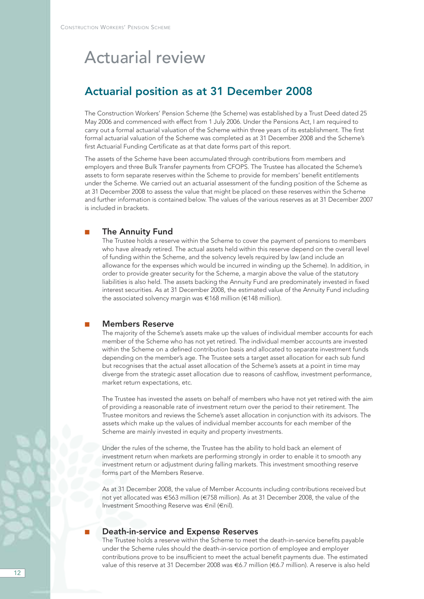## Actuarial review

### Actuarial position as at 31 December 2008

The Construction Workers' Pension Scheme (the Scheme) was established by a Trust Deed dated 25 May 2006 and commenced with effect from 1 July 2006. Under the Pensions Act, I am required to carry out a formal actuarial valuation of the Scheme within three years of its establishment. The first formal actuarial valuation of the Scheme was completed as at 31 December 2008 and the Scheme's first Actuarial Funding Certificate as at that date forms part of this report.

The assets of the Scheme have been accumulated through contributions from members and employers and three Bulk Transfer payments from CFOPS. The Trustee has allocated the Scheme's assets to form separate reserves within the Scheme to provide for members' benefit entitlements under the Scheme. We carried out an actuarial assessment of the funding position of the Scheme as at 31 December 2008 to assess the value that might be placed on these reserves within the Scheme and further information is contained below. The values of the various reserves as at 31 December 2007 is included in brackets.

#### ■ The Annuity Fund

The Trustee holds a reserve within the Scheme to cover the payment of pensions to members who have already retired. The actual assets held within this reserve depend on the overall level of funding within the Scheme, and the solvency levels required by law (and include an allowance for the expenses which would be incurred in winding up the Scheme). In addition, in order to provide greater security for the Scheme, a margin above the value of the statutory liabilities is also held. The assets backing the Annuity Fund are predominately invested in fixed interest securities. As at 31 December 2008, the estimated value of the Annuity Fund including the associated solvency margin was €168 million (€148 million).

#### Members Reserve

The majority of the Scheme's assets make up the values of individual member accounts for each member of the Scheme who has not yet retired. The individual member accounts are invested within the Scheme on a defined contribution basis and allocated to separate investment funds depending on the member's age. The Trustee sets a target asset allocation for each sub fund but recognises that the actual asset allocation of the Scheme's assets at a point in time may diverge from the strategic asset allocation due to reasons of cashflow, investment performance, market return expectations, etc.

The Trustee has invested the assets on behalf of members who have not yet retired with the aim of providing a reasonable rate of investment return over the period to their retirement. The Trustee monitors and reviews the Scheme's asset allocation in conjunction with its advisors. The assets which make up the values of individual member accounts for each member of the Scheme are mainly invested in equity and property investments.

Under the rules of the scheme, the Trustee has the ability to hold back an element of investment return when markets are performing strongly in order to enable it to smooth any investment return or adjustment during falling markets. This investment smoothing reserve forms part of the Members Reserve.

As at 31 December 2008, the value of Member Accounts including contributions received but not yet allocated was €563 million (€758 million). As at 31 December 2008, the value of the Investment Smoothing Reserve was €nil (€nil).

#### Death-in-service and Expense Reserves

The Trustee holds a reserve within the Scheme to meet the death-in-service benefits payable under the Scheme rules should the death-in-service portion of employee and employer contributions prove to be insufficient to meet the actual benefit payments due. The estimated value of this reserve at 31 December 2008 was €6.7 million (€6.7 million). A reserve is also held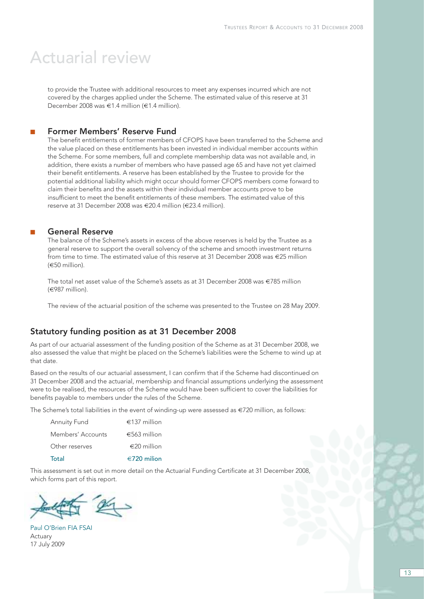## Actuarial review

to provide the Trustee with additional resources to meet any expenses incurred which are not covered by the charges applied under the Scheme. The estimated value of this reserve at 31 December 2008 was €1.4 million (€1.4 million).

#### Former Members' Reserve Fund

The benefit entitlements of former members of CFOPS have been transferred to the Scheme and the value placed on these entitlements has been invested in individual member accounts within the Scheme. For some members, full and complete membership data was not available and, in addition, there exists a number of members who have passed age 65 and have not yet claimed their benefit entitlements. A reserve has been established by the Trustee to provide for the potential additional liability which might occur should former CFOPS members come forward to claim their benefits and the assets within their individual member accounts prove to be insufficient to meet the benefit entitlements of these members. The estimated value of this reserve at 31 December 2008 was €20.4 million (€23.4 million).

### General Reserve

The balance of the Scheme's assets in excess of the above reserves is held by the Trustee as a general reserve to support the overall solvency of the scheme and smooth investment returns from time to time. The estimated value of this reserve at 31 December 2008 was €25 million (€50 million).

The total net asset value of the Scheme's assets as at 31 December 2008 was €785 million (€987 million).

The review of the actuarial position of the scheme was presented to the Trustee on 28 May 2009.

### Statutory funding position as at 31 December 2008

As part of our actuarial assessment of the funding position of the Scheme as at 31 December 2008, we also assessed the value that might be placed on the Scheme's liabilities were the Scheme to wind up at that date.

Based on the results of our actuarial assessment, I can confirm that if the Scheme had discontinued on 31 December 2008 and the actuarial, membership and financial assumptions underlying the assessment were to be realised, the resources of the Scheme would have been sufficient to cover the liabilities for benefits payable to members under the rules of the Scheme.

The Scheme's total liabilities in the event of winding-up were assessed as €720 million, as follows:

| <b>Annuity Fund</b> | €137 million          |
|---------------------|-----------------------|
| Members' Accounts   | €563 million          |
| Other reserves      | $\epsilon$ 20 million |
| Total               | €720 milion           |

This assessment is set out in more detail on the Actuarial Funding Certificate at 31 December 2008, which forms part of this report.



Paul O'Brien FIA FSAI Actuary 17 July 2009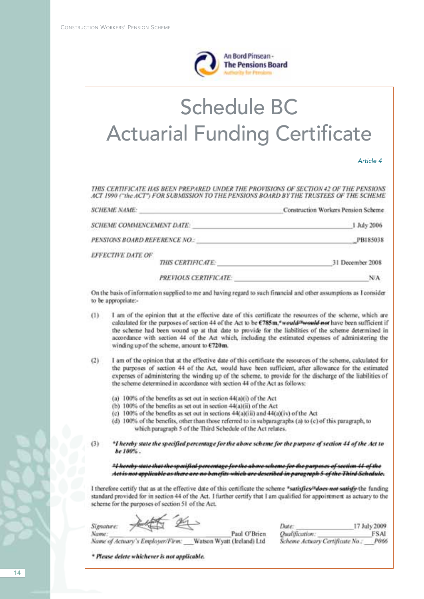

# Schedule BC Actuarial Funding Certificate

| Article 4 |  |  |
|-----------|--|--|
|           |  |  |

THIS CERTIFICATE HAS BEEN PREPARED UNDER THE PROVISIONS OF SECTION 42 OF THE PENSIONS ACT 1990 ("the ACT") FOR SUBMISSION TO THE PENSIONS BOARD BY THE TRUSTEES OF THE SCHEME

| <b>SCHEME NAME:</b>       |                               | Construction Workers Pension Scheme |
|---------------------------|-------------------------------|-------------------------------------|
| SCHEME COMMENCEMENT DATE: |                               | 1 July 2006                         |
|                           | PENSIONS BOARD REFERENCE NO.: | PB185038                            |
| EFFECTIVE DATE OF         | THIS CERTIFICATE:             | 31 December 2008                    |
|                           | <b>PREVIOUS CERTIFICATE:</b>  |                                     |

On the basis of information supplied to me and having regard to such financial and other assumptions as I consider to be appropriate:-

- I am of the opinion that at the effective date of this certificate the resources of the scheme, which are  $(1)$ calculated for the purposes of section 44 of the Act to be €785m,\*would<sup>26</sup>would not have been sufficient if the scheme had been wound up at that date to provide for the liabilities of the scheme determined in accordance with section 44 of the Act which, including the estimated expenses of administering the winding up of the scheme, amount to  $E720$ m.
- $(2)$ I am of the opinion that at the effective date of this certificate the resources of the scheme, calculated for the purposes of section 44 of the Act, would have been sufficient, after allowance for the estimated expenses of administering the winding up of the scheme, to provide for the discharge of the liabilities of the scheme determined in accordance with section 44 of the Act as follows:
	- (a) 100% of the benefits as set out in section 44(a)(i) of the Act
	- (b) 100% of the benefits as set out in section 44(a)(ii) of the Act
	- (c) 100% of the benefits as set out in sections 44(a)(iii) and 44(a)(iv) of the Act
	- (d) 100% of the benefits, other than those referred to in subparagraphs (a) to (c) of this paragraph, to which paragraph 5 of the Third Schedule of the Act relates.
- $(3)$ \*I hereby state the specified percentage for the above scheme for the purpose of section 44 of the Act to be 100%.

21 hereby state that the specified percentage for the above scheme for the purposes of section 44 of the Act is not applicable as there are no benefits which are described in paragraph 5 of the Third Schedule.

I therefore certify that as at the effective date of this certificate the scheme \*satisfies<sup>tu</sup>does not satisfy-the funding standard provided for in section 44 of the Act. I further certify that I am qualified for appointment as actuary to the scheme for the purposes of section 51 of the Act.

Signature:

17 July 2009 Date: Oualification: **FSAI** Scheme Actuary Certificate No.: **PO66** 

Paul O'Brien Name of Actuary's Employer/Firm: Watson Wyatt (Ireland) Ltd

\* Please delete whichever is not applicable.

Name: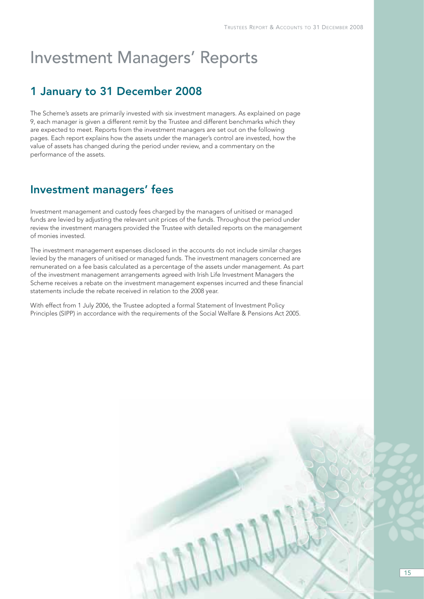## Investment Managers' Reports

### 1 January to 31 December 2008

The Scheme's assets are primarily invested with six investment managers. As explained on page 9, each manager is given a different remit by the Trustee and different benchmarks which they are expected to meet. Reports from the investment managers are set out on the following pages. Each report explains how the assets under the manager's control are invested, how the value of assets has changed during the period under review, and a commentary on the performance of the assets.

### Investment managers' fees

Investment management and custody fees charged by the managers of unitised or managed funds are levied by adjusting the relevant unit prices of the funds. Throughout the period under review the investment managers provided the Trustee with detailed reports on the management of monies invested.

The investment management expenses disclosed in the accounts do not include similar charges levied by the managers of unitised or managed funds. The investment managers concerned are remunerated on a fee basis calculated as a percentage of the assets under management. As part of the investment management arrangements agreed with Irish Life Investment Managers the Scheme receives a rebate on the investment management expenses incurred and these financial statements include the rebate received in relation to the 2008 year.

With effect from 1 July 2006, the Trustee adopted a formal Statement of Investment Policy Principles (SIPP) in accordance with the requirements of the Social Welfare & Pensions Act 2005.

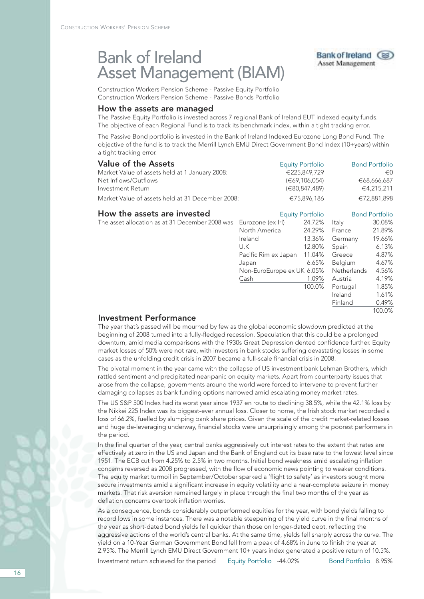## Bank of Ireland Asset Management (BIAM)



Pacific Rim ex Japan 11.04% Greece 4.87%<br>Japan 6.65% Belgium 4.67% Japan 6.65% Belgium 4.67% Non-EuroEurope ex UK 6.05% Netherlands

Cash 1.09% Austria 4.19%

100.0% Portugal 1.85%

Ireland 1.61% Finland 0.49%

100.0%

Construction Workers Pension Scheme - Passive Equity Portfolio Construction Workers Pension Scheme - Passive Bonds Portfolio

#### How the assets are managed

The Passive Equity Portfolio is invested across 7 regional Bank of Ireland EUT indexed equity funds. The objective of each Regional Fund is to track its benchmark index, within a tight tracking error.

The Passive Bond portfolio is invested in the Bank of Ireland Indexed Eurozone Long Bond Fund. The objective of the fund is to track the Merrill Lynch EMU Direct Government Bond Index (10+years) within a tight tracking error.

| <b>Value of the Assets</b>                       |                   | <b>Equity Portfolio</b> |         | <b>Bond Portfolio</b> |
|--------------------------------------------------|-------------------|-------------------------|---------|-----------------------|
| Market Value of assets held at 1 January 2008:   |                   | €225,849,729            |         | €0                    |
| Net Inflows/Outflows                             |                   | (€69,106,054)           |         | €68,666,687           |
| Investment Return                                |                   | (€80,847,489)           |         | €4,215,211            |
| Market Value of assets held at 31 December 2008: |                   | €75,896,186             |         | €72,881,898           |
| How the assets are invested                      |                   | <b>Equity Portfolio</b> |         | <b>Bond Portfolio</b> |
| The asset allocation as at 31 December 2008 was  | Eurozone (ex Irl) | 24.72%                  | Italy   | 30.08%                |
|                                                  | North America     | 24.29%                  | France  | 21.89%                |
|                                                  | Ireland           | 13.36%                  | Germany | 19.66%                |
|                                                  | U.K               | 12.80%                  | Spain   | 6.13%                 |

### Investment Performance

The year that's passed will be mourned by few as the global economic slowdown predicted at the beginning of 2008 turned into a fully-fledged recession. Speculation that this could be a prolonged downturn, amid media comparisons with the 1930s Great Depression dented confidence further. Equity market losses of 50% were not rare, with investors in bank stocks suffering devastating losses in some cases as the unfolding credit crisis in 2007 became a full-scale financial crisis in 2008.

The pivotal moment in the year came with the collapse of US investment bank Lehman Brothers, which rattled sentiment and precipitated near-panic on equity markets. Apart from counterparty issues that arose from the collapse, governments around the world were forced to intervene to prevent further damaging collapses as bank funding options narrowed amid escalating money market rates.

The US S&P 500 Index had its worst year since 1937 en route to declining 38.5%, while the 42.1% loss by the Nikkei 225 Index was its biggest-ever annual loss. Closer to home, the Irish stock market recorded a loss of 66.2%, fuelled by slumping bank share prices. Given the scale of the credit market-related losses and huge de-leveraging underway, financial stocks were unsurprisingly among the poorest performers in the period.

In the final quarter of the year, central banks aggressively cut interest rates to the extent that rates are effectively at zero in the US and Japan and the Bank of England cut its base rate to the lowest level since 1951. The ECB cut from 4.25% to 2.5% in two months. Initial bond weakness amid escalating inflation concerns reversed as 2008 progressed, with the flow of economic news pointing to weaker conditions. The equity market turmoil in September/October sparked a 'flight to safety' as investors sought more secure investments amid a significant increase in equity volatility and a near-complete seizure in money markets. That risk aversion remained largely in place through the final two months of the year as deflation concerns overtook inflation worries.

As a consequence, bonds considerably outperformed equities for the year, with bond yields falling to record lows in some instances. There was a notable steepening of the yield curve in the final months of the year as short-dated bond yields fell quicker than those on longer-dated debt, reflecting the aggressive actions of the world's central banks. At the same time, yields fell sharply across the curve. The yield on a 10-Year German Government Bond fell from a peak of 4.68% in June to finish the year at 2.95%. The Merrill Lynch EMU Direct Government 10+ years index generated a positive return of 10.5%.

Investment return achieved for the period Equity Portfolio -44.02% Bond Portfolio 8.95%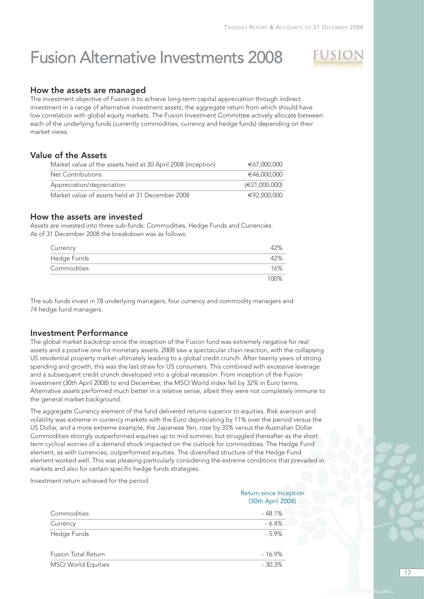## Fusion Alternative Investments 2008



#### How the assets are managed

The investment objective of Fusion is to achieve long-term capital appreciation through indirect investment in a range of alternative investment assets, the aggregate return from which should have low correlation with global equity markets. The Fusion Investment Committee actively allocate between each of the underlying funds (currently commodities, currency and hedge funds) depending on their market views.

### Value of the Assets

| Market value of the assets held at 30 April 2008 (inception) | €67,000,000   |
|--------------------------------------------------------------|---------------|
| Net Contributions                                            | €46,000,000   |
| Appreciation/depreciation                                    | (E21.000.000) |
| Market value of assets held at 31 December 2008              | €92,000,000   |

### How the assets are invested

Assets are invested into three sub-funds: Commodities, Hedge Funds and Currencies. As of 31 December 2008 the breakdown was as follows:

| Currency    | 42%  |
|-------------|------|
| Hedge Funds | 42%  |
| Commodities | 16%  |
|             | 100% |

The sub funds invest in 78 underlying managers, four currency and commodity managers and 74 hedge fund managers.

#### Investment Performance

The global market backdrop since the inception of the Fusion fund was extremely negative for real assets and a positive one for monetary assets. 2008 saw a spectacular chain reaction, with the collapsing US residential property market ultimately leading to a global credit crunch. After twenty years of strong spending and growth, this was the last straw for US consumers. This combined with excessive leverage and a subsequent credit crunch developed into a global recession. From inception of the Fusion investment (30th April 2008) to end December, the MSCI World index fell by 32% in Euro terms. Alternative assets performed much better in a relative sense, albeit they were not completely immune to the general market background.

The aggregate Currency element of the fund delivered returns superior to equities. Risk aversion and volatility was extreme in currency markets with the Euro depreciating by 11% over the period versus the US Dollar, and a more extreme example, the Japanese Yen, rose by 35% versus the Australian Dollar. Commodities strongly outperformed equities up to mid summer, but struggled thereafter as the short term cyclical worries of a demand shock impacted on the outlook for commodities. The Hedge Fund element, as with currencies, outperformed equities. The diversified structure of the Hedge Fund element worked well. This was pleasing particularly considering the extreme conditions that prevailed in markets and also for certain specific hedge funds strategies.

Investment return achieved for the period.

|                            | Return since Inception<br>(30th April 2008) |
|----------------------------|---------------------------------------------|
| Commodities                | $-48.1%$                                    |
| Currency                   | $-6.4%$                                     |
| Hedge Funds                | $-5.9%$                                     |
| <b>Fusion Total Return</b> | $-16.9%$                                    |
| <b>MSCI World Equities</b> | $-30.3%$                                    |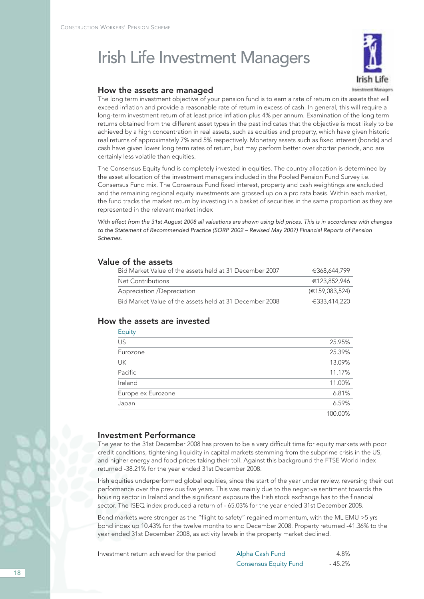# Irish Life Investment Managers



#### How the assets are managed

The long term investment objective of your pension fund is to earn a rate of return on its assets that will exceed inflation and provide a reasonable rate of return in excess of cash. In general, this will require a long-term investment return of at least price inflation plus 4% per annum. Examination of the long term returns obtained from the different asset types in the past indicates that the objective is most likely to be achieved by a high concentration in real assets, such as equities and property, which have given historic real returns of approximately 7% and 5% respectively. Monetary assets such as fixed interest (bonds) and cash have given lower long term rates of return, but may perform better over shorter periods, and are certainly less volatile than equities.

The Consensus Equity fund is completely invested in equities. The country allocation is determined by the asset allocation of the investment managers included in the Pooled Pension Fund Survey i.e. Consensus Fund mix. The Consensus Fund fixed interest, property and cash weightings are excluded and the remaining regional equity investments are grossed up on a pro rata basis. Within each market, the fund tracks the market return by investing in a basket of securities in the same proportion as they are represented in the relevant market index

With effect from the 31st August 2008 all valuations are shown using bid prices. This is in accordance with changes to the Statement of Recommended Practice (SORP 2002 – Revised May 2007) Financial Reports of Pension Schemes.

### Value of the assets

| Bid Market Value of the assets held at 31 December 2007 | €368,644,799                 |
|---------------------------------------------------------|------------------------------|
| Net Contributions                                       | €123.852.946                 |
| Appreciation /Depreciation                              | $(\text{ } \in 159.083.524)$ |
| Bid Market Value of the assets held at 31 December 2008 | €333,414,220                 |

### How the assets are invested

| Equity               |         |
|----------------------|---------|
| $\overline{US}$      | 25.95%  |
| Eurozone             | 25.39%  |
| UK                   | 13.09%  |
| $\overline{Pacific}$ | 11.17%  |
| Ireland              | 11.00%  |
| Europe ex Eurozone   | 6.81%   |
| Japan                | 6.59%   |
|                      | 100.00% |

#### Investment Performance

The year to the 31st December 2008 has proven to be a very difficult time for equity markets with poor credit conditions, tightening liquidity in capital markets stemming from the subprime crisis in the US, and higher energy and food prices taking their toll. Against this background the FTSE World Index returned -38.21% for the year ended 31st December 2008.

Irish equities underperformed global equities, since the start of the year under review, reversing their out performance over the previous five years. This was mainly due to the negative sentiment towards the housing sector in Ireland and the significant exposure the Irish stock exchange has to the financial sector. The ISEQ index produced a return of - 65.03% for the year ended 31st December 2008.

Bond markets were stronger as the "flight to safety" regained momentum, with the ML EMU >5 yrs bond index up 10.43% for the twelve months to end December 2008. Property returned -41.36% to the year ended 31st December 2008, as activity levels in the property market declined.

| Investment return achieved for the period | Alpha Cash Fund              | 4.8%    |
|-------------------------------------------|------------------------------|---------|
|                                           | <b>Consensus Equity Fund</b> | - 45.2% |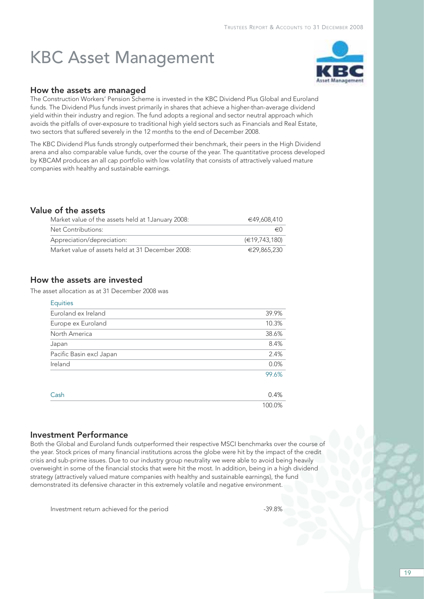# KBC Asset Management



#### How the assets are managed

The Construction Workers' Pension Scheme is invested in the KBC Dividend Plus Global and Euroland funds. The Dividend Plus funds invest primarily in shares that achieve a higher-than-average dividend yield within their industry and region. The fund adopts a regional and sector neutral approach which avoids the pitfalls of over-exposure to traditional high yield sectors such as Financials and Real Estate, two sectors that suffered severely in the 12 months to the end of December 2008.

The KBC Dividend Plus funds strongly outperformed their benchmark, their peers in the High Dividend arena and also comparable value funds, over the course of the year. The quantitative process developed by KBCAM produces an all cap portfolio with low volatility that consists of attractively valued mature companies with healthy and sustainable earnings.

### Value of the assets

| Market value of the assets held at 1 January 2008: | €49,608,410   |
|----------------------------------------------------|---------------|
| Net Contributions:                                 | $\in$ ()      |
| Appreciation/depreciation:                         | (€19,743,180) |
| Market value of assets held at 31 December 2008:   | €29,865,230   |

### How the assets are invested

The asset allocation as at 31 December 2008 was

| <b>Equities</b>          |        |
|--------------------------|--------|
| Euroland ex Ireland      | 39.9%  |
| Europe ex Euroland       | 10.3%  |
| North America            | 38.6%  |
| Japan                    | 8.4%   |
| Pacific Basin excl Japan | 2.4%   |
| Ireland                  | 0.0%   |
|                          | 99.6%  |
| Cash                     | 0.4%   |
|                          | 100.0% |

### Investment Performance

Both the Global and Euroland funds outperformed their respective MSCI benchmarks over the course of the year. Stock prices of many financial institutions across the globe were hit by the impact of the credit crisis and sub-prime issues. Due to our industry group neutrality we were able to avoid being heavily overweight in some of the financial stocks that were hit the most. In addition, being in a high dividend strategy (attractively valued mature companies with healthy and sustainable earnings), the fund demonstrated its defensive character in this extremely volatile and negative environment.

Investment return achieved for the period  $-39.8\%$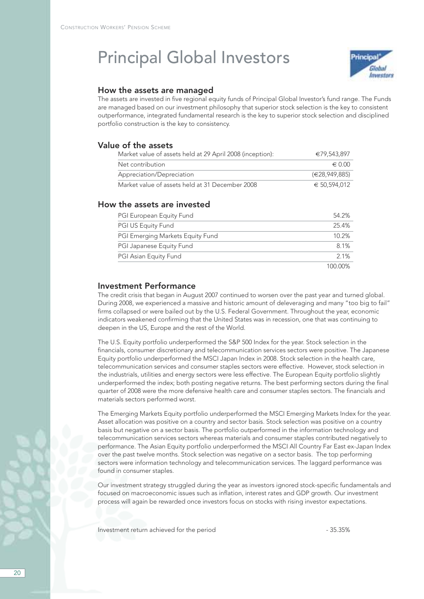## Principal Global Investors



#### How the assets are managed

The assets are invested in five regional equity funds of Principal Global Investor's fund range. The Funds are managed based on our investment philosophy that superior stock selection is the key to consistent outperformance, integrated fundamental research is the key to superior stock selection and disciplined portfolio construction is the key to consistency.

### Value of the assets

| Market value of assets held at 29 April 2008 (inception): | €79,543,897     |
|-----------------------------------------------------------|-----------------|
| Net contribution                                          | $\epsilon$ 0.00 |
| Appreciation/Depreciation                                 | (E28.949.885)   |
| Market value of assets held at 31 December 2008           | € 50.594.012    |

#### How the assets are invested

| <b>PGI European Equity Fund</b>  | 54.2%   |
|----------------------------------|---------|
| <b>PGI US Equity Fund</b>        | 25.4%   |
| PGI Emerging Markets Equity Fund | 10.2%   |
| PGI Japanese Equity Fund         | 8.1%    |
| PGI Asian Equity Fund            | 2.1%    |
|                                  | 100.00% |

#### Investment Performance

The credit crisis that began in August 2007 continued to worsen over the past year and turned global. During 2008, we experienced a massive and historic amount of deleveraging and many "too big to fail" firms collapsed or were bailed out by the U.S. Federal Government. Throughout the year, economic indicators weakened confirming that the United States was in recession, one that was continuing to deepen in the US, Europe and the rest of the World.

The U.S. Equity portfolio underperformed the S&P 500 Index for the year. Stock selection in the financials, consumer discretionary and telecommunication services sectors were positive. The Japanese Equity portfolio underperformed the MSCI Japan Index in 2008. Stock selection in the health care, telecommunication services and consumer staples sectors were effective. However, stock selection in the industrials, utilities and energy sectors were less effective. The European Equity portfolio slightly underperformed the index; both posting negative returns. The best performing sectors during the final quarter of 2008 were the more defensive health care and consumer staples sectors. The financials and materials sectors performed worst.

The Emerging Markets Equity portfolio underperformed the MSCI Emerging Markets Index for the year. Asset allocation was positive on a country and sector basis. Stock selection was positive on a country basis but negative on a sector basis. The portfolio outperformed in the information technology and telecommunication services sectors whereas materials and consumer staples contributed negatively to performance. The Asian Equity portfolio underperformed the MSCI All Country Far East ex-Japan Index over the past twelve months. Stock selection was negative on a sector basis. The top performing sectors were information technology and telecommunication services. The laggard performance was found in consumer staples.

Our investment strategy struggled during the year as investors ignored stock-specific fundamentals and focused on macroeconomic issues such as inflation, interest rates and GDP growth. Our investment process will again be rewarded once investors focus on stocks with rising investor expectations.

Investment return achieved for the period  $-$  35.35%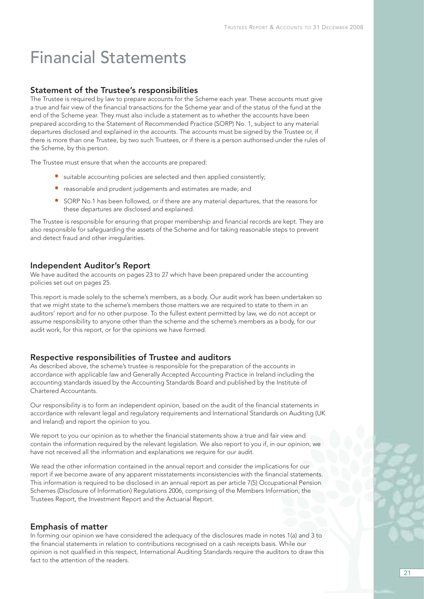# Financial Statements

#### Statement of the Trustee's responsibilities

The Trustee is required by law to prepare accounts for the Scheme each year. These accounts must give a true and fair view of the financial transactions for the Scheme year and of the status of the fund at the end of the Scheme year. They must also include a statement as to whether the accounts have been prepared according to the Statement of Recommended Practice (SORP) No. 1, subject to any material departures disclosed and explained in the accounts. The accounts must be signed by the Trustee or, if there is more than one Trustee, by two such Trustees, or if there is a person authorised under the rules of the Scheme, by this person.

The Trustee must ensure that when the accounts are prepared:

- suitable accounting policies are selected and then applied consistently;
- reasonable and prudent judgements and estimates are made; and
- SORP No.1 has been followed, or if there are any material departures, that the reasons for these departures are disclosed and explained.

The Trustee is responsible for ensuring that proper membership and financial records are kept. They are also responsible for safeguarding the assets of the Scheme and for taking reasonable steps to prevent and detect fraud and other irregularities.

#### Independent Auditor's Report

We have audited the accounts on pages 23 to 27 which have been prepared under the accounting policies set out on pages 25.

This report is made solely to the scheme's members, as a body. Our audit work has been undertaken so that we might state to the scheme's members those matters we are required to state to them in an auditors' report and for no other purpose. To the fullest extent permitted by law, we do not accept or assume responsibility to anyone other than the scheme and the scheme's members as a body, for our audit work, for this report, or for the opinions we have formed.

#### Respective responsibilities of Trustee and auditors

As described above, the scheme's trustee is responsible for the preparation of the accounts in accordance with applicable law and Generally Accepted Accounting Practice in Ireland including the accounting standards issued by the Accounting Standards Board and published by the Institute of Chartered Accountants.

Our responsibility is to form an independent opinion, based on the audit of the financial statements in accordance with relevant legal and regulatory requirements and International Standards on Auditing (UK and Ireland) and report the opinion to you.

We report to you our opinion as to whether the financial statements show a true and fair view and contain the information required by the relevant legislation. We also report to you if, in our opinion, we have not received all the information and explanations we require for our audit.

We read the other information contained in the annual report and consider the implications for our report if we become aware of any apparent misstatements inconsistencies with the financial statements. This information is required to be disclosed in an annual report as per article 7(5) Occupational Pension Schemes (Disclosure of Information) Regulations 2006, comprising of the Members Information, the Trustees Report, the Investment Report and the Actuarial Report.

#### Emphasis of matter

In forming our opinion we have considered the adequacy of the disclosures made in notes 1(a) and 3 to the financial statements in relation to contributions recognised on a cash receipts basis. While our opinion is not qualified in this respect, International Auditing Standards require the auditors to draw this fact to the attention of the readers.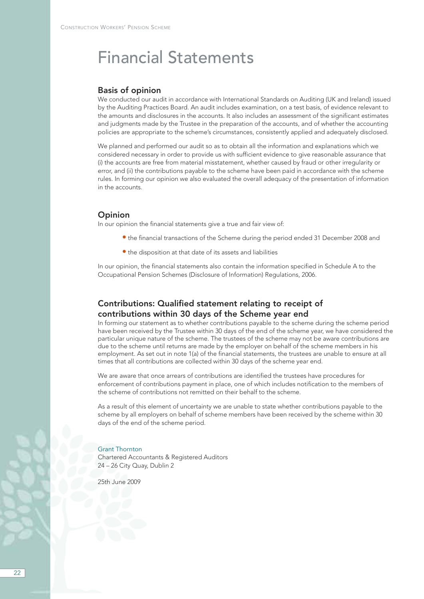## Financial Statements

#### Basis of opinion

We conducted our audit in accordance with International Standards on Auditing (UK and Ireland) issued by the Auditing Practices Board. An audit includes examination, on a test basis, of evidence relevant to the amounts and disclosures in the accounts. It also includes an assessment of the significant estimates and judgments made by the Trustee in the preparation of the accounts, and of whether the accounting policies are appropriate to the scheme's circumstances, consistently applied and adequately disclosed.

We planned and performed our audit so as to obtain all the information and explanations which we considered necessary in order to provide us with sufficient evidence to give reasonable assurance that (i) the accounts are free from material misstatement, whether caused by fraud or other irregularity or error, and (ii) the contributions payable to the scheme have been paid in accordance with the scheme rules. In forming our opinion we also evaluated the overall adequacy of the presentation of information in the accounts.

#### **Opinion**

In our opinion the financial statements give a true and fair view of:

- the financial transactions of the Scheme during the period ended 31 December 2008 and
- the disposition at that date of its assets and liabilities

In our opinion, the financial statements also contain the information specified in Schedule A to the Occupational Pension Schemes (Disclosure of Information) Regulations, 2006.

### Contributions: Qualified statement relating to receipt of contributions within 30 days of the Scheme year end

In forming our statement as to whether contributions payable to the scheme during the scheme period have been received by the Trustee within 30 days of the end of the scheme year, we have considered the particular unique nature of the scheme. The trustees of the scheme may not be aware contributions are due to the scheme until returns are made by the employer on behalf of the scheme members in his employment. As set out in note 1(a) of the financial statements, the trustees are unable to ensure at all times that all contributions are collected within 30 days of the scheme year end.

We are aware that once arrears of contributions are identified the trustees have procedures for enforcement of contributions payment in place, one of which includes notification to the members of the scheme of contributions not remitted on their behalf to the scheme.

As a result of this element of uncertainty we are unable to state whether contributions payable to the scheme by all employers on behalf of scheme members have been received by the scheme within 30 days of the end of the scheme period.

#### Grant Thornton

Chartered Accountants & Registered Auditors 24 – 26 City Quay, Dublin 2

25th June 2009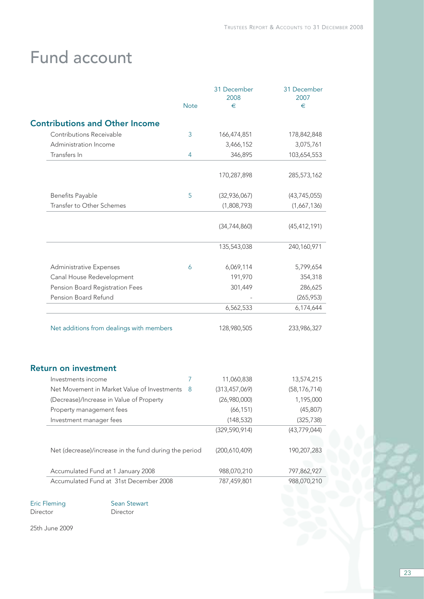# Fund account

|                                                       |             | 31 December<br>2008 | 31 December<br>2007 |
|-------------------------------------------------------|-------------|---------------------|---------------------|
|                                                       | <b>Note</b> | €                   | €                   |
| <b>Contributions and Other Income</b>                 |             |                     |                     |
| Contributions Receivable                              | 3           | 166,474,851         | 178,842,848         |
| Administration Income                                 |             | 3,466,152           | 3,075,761           |
| Transfers In                                          | 4           | 346,895             | 103,654,553         |
|                                                       |             | 170,287,898         | 285,573,162         |
| Benefits Payable                                      | 5           | (32,936,067)        | (43, 745, 055)      |
| Transfer to Other Schemes                             |             | (1,808,793)         | (1,667,136)         |
|                                                       |             | (34, 744, 860)      | (45, 412, 191)      |
|                                                       |             | 135,543,038         | 240,160,971         |
| <b>Administrative Expenses</b>                        | 6           | 6,069,114           | 5,799,654           |
| Canal House Redevelopment                             |             | 191,970             | 354,318             |
| Pension Board Registration Fees                       |             | 301,449             | 286,625             |
| Pension Board Refund                                  |             |                     | (265, 953)          |
|                                                       |             | 6,562,533           | 6,174,644           |
| Net additions from dealings with members              |             | 128,980,505         | 233,986,327         |
| <b>Return on investment</b>                           |             |                     |                     |
| Investments income                                    | 7           | 11,060,838          | 13,574,215          |
| Net Movement in Market Value of Investments           | -8          | (313, 457, 069)     | (58, 176, 714)      |
| (Decrease)/Increase in Value of Property              |             | (26,980,000)        | 1,195,000           |
| Property management fees                              |             | (66, 151)           | (45, 807)           |
| Investment manager fees                               |             | (148, 532)          | (325, 738)          |
|                                                       |             | (329, 590, 914)     | (43, 779, 044)      |
| Net (decrease)/increase in the fund during the period |             | (200,610,409)       | 190,207,283         |
| Accumulated Fund at 1 January 2008                    |             | 988,070,210         | 797,862,927         |
| Accumulated Fund at 31st December 2008                |             | 787,459,801         | 988,070,210         |

Director

Eric Fleming<br>
Director<br>
Director<br>
Director

25th June 2009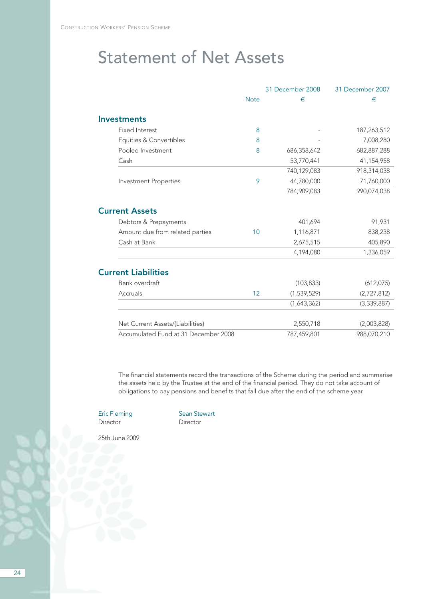# Statement of Net Assets

|                                      |             | 31 December 2008 | 31 December 2007 |
|--------------------------------------|-------------|------------------|------------------|
|                                      | <b>Note</b> | €                | €                |
| <b>Investments</b>                   |             |                  |                  |
| <b>Fixed Interest</b>                | 8           |                  | 187,263,512      |
| Equities & Convertibles              | 8           |                  | 7,008,280        |
| Pooled Investment                    | 8           | 686,358,642      | 682, 887, 288    |
| Cash                                 |             | 53,770,441       | 41,154,958       |
|                                      |             | 740,129,083      | 918,314,038      |
| <b>Investment Properties</b>         | 9           | 44,780,000       | 71,760,000       |
|                                      |             | 784,909,083      | 990,074,038      |
| <b>Current Assets</b>                |             |                  |                  |
| Debtors & Prepayments                |             | 401,694          | 91,931           |
| Amount due from related parties      | 10          | 1,116,871        | 838,238          |
| Cash at Bank                         |             | 2,675,515        | 405,890          |
|                                      |             | 4,194,080        | 1,336,059        |
| <b>Current Liabilities</b>           |             |                  |                  |
| Bank overdraft                       |             | (103, 833)       | (612, 075)       |
| Accruals                             | 12          | (1,539,529)      | (2,727,812)      |
|                                      |             | (1,643,362)      | (3,339,887)      |
| Net Current Assets/(Liabilities)     |             | 2,550,718        | (2,003,828)      |
| Accumulated Fund at 31 December 2008 |             | 787,459,801      | 988,070,210      |

The financial statements record the transactions of the Scheme during the period and summarise the assets held by the Trustee at the end of the financial period. They do not take account of obligations to pay pensions and benefits that fall due after the end of the scheme year.

Director

Eric Fleming<br>
Director<br>
Director<br>
Director

25th June 2009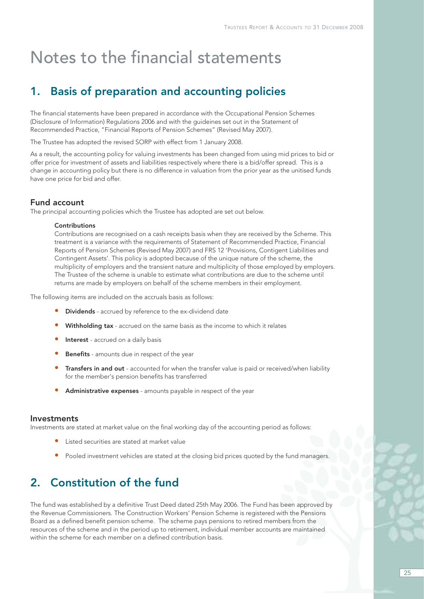### 1. Basis of preparation and accounting policies

The financial statements have been prepared in accordance with the Occupational Pension Schemes (Disclosure of Information) Regulations 2006 and with the guideines set out in the Statement of Recommended Practice, "Financial Reports of Pension Schemes" (Revised May 2007).

The Trustee has adopted the revised SORP with effect from 1 January 2008.

As a result, the accounting policy for valuing investments has been changed from using mid prices to bid or offer price for investment of assets and liabilities respectively where there is a bid/offer spread. This is a change in accounting policy but there is no difference in valuation from the prior year as the unitised funds have one price for bid and offer.

#### Fund account

The principal accounting policies which the Trustee has adopted are set out below.

#### **Contributions**

Contributions are recognised on a cash receipts basis when they are received by the Scheme. This treatment is a variance with the requirements of Statement of Recommended Practice, Financial Reports of Pension Schemes (Revised May 2007) and FRS 12 'Provisions, Contigent Liabilities and Contingent Assets'. This policy is adopted because of the unique nature of the scheme, the multiplicity of employers and the transient nature and multiplicity of those employed by employers. The Trustee of the scheme is unable to estimate what contributions are due to the scheme until returns are made by employers on behalf of the scheme members in their employment.

The following items are included on the accruals basis as follows:

- **Dividends** accrued by reference to the ex-dividend date
- Withholding tax accrued on the same basis as the income to which it relates
- Interest accrued on a daily basis
- Benefits amounts due in respect of the year
- Transfers in and out accounted for when the transfer value is paid or received/when liability for the member's pension benefits has transferred
- Administrative expenses amounts payable in respect of the year

#### Investments

Investments are stated at market value on the final working day of the accounting period as follows:

- Listed securities are stated at market value
- Pooled investment vehicles are stated at the closing bid prices quoted by the fund managers.

### 2. Constitution of the fund

The fund was established by a definitive Trust Deed dated 25th May 2006. The Fund has been approved by the Revenue Commissioners. The Construction Workers' Pension Scheme is registered with the Pensions Board as a defined benefit pension scheme. The scheme pays pensions to retired members from the resources of the scheme and in the period up to retirement, individual member accounts are maintained within the scheme for each member on a defined contribution basis.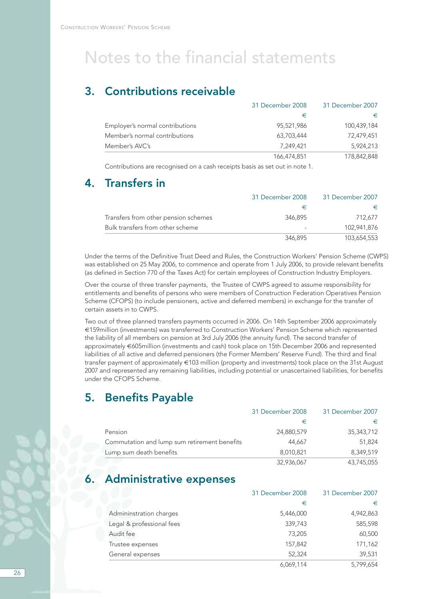### 3. Contributions receivable

|                                 | 31 December 2008 | 31 December 2007 |
|---------------------------------|------------------|------------------|
|                                 | €                | €                |
| Employer's normal contributions | 95,521,986       | 100,439,184      |
| Member's normal contributions   | 63,703,444       | 72,479,451       |
| Member's AVC's                  | 7.249.421        | 5,924,213        |
|                                 | 166,474,851      | 178,842,848      |

Contributions are recognised on a cash receipts basis as set out in note 1.

### 4. Transfers in

|                                      | 31 December 2008 | 31 December 2007 |
|--------------------------------------|------------------|------------------|
|                                      |                  |                  |
| Transfers from other pension schemes | 346.895          | 712.677          |
| Bulk transfers from other scheme     |                  | 102,941,876      |
|                                      | 346,895          | 103.654.553      |

Under the terms of the Definitive Trust Deed and Rules, the Construction Workers' Pension Scheme (CWPS) was established on 25 May 2006, to commence and operate from 1 July 2006, to provide relevant benefits (as defined in Section 770 of the Taxes Act) for certain employees of Construction Industry Employers.

Over the course of three transfer payments, the Trustee of CWPS agreed to assume responsibility for entitlements and benefits of persons who were members of Construction Federation Operatives Pension Scheme (CFOPS) (to include pensioners, active and deferred members) in exchange for the transfer of certain assets in to CWPS.

Two out of three planned transfers payments occurred in 2006. On 14th September 2006 approximately €159million (investments) was transferred to Construction Workers' Pension Scheme which represented the liability of all members on pension at 3rd July 2006 (the annuity fund). The second transfer of approximately €605million (investments and cash) took place on 15th December 2006 and represented liabilities of all active and deferred pensioners (the Former Members' Reserve Fund). The third and final transfer payment of approximately €103 million (property and investments) took place on the 31st August 2007 and represented any remaining liabilities, including potential or unascertained liabilities, for benefits under the CFOPS Scheme.

### 5. Benefits Payable

|                                              | 31 December 2008 | 31 December 2007 |
|----------------------------------------------|------------------|------------------|
|                                              | €                | €                |
| Pension                                      | 24,880,579       | 35,343,712       |
| Commutation and lump sum retirement benefits | 44.667           | 51,824           |
| Lump sum death benefits                      | 8,010,821        | 8.349.519        |
|                                              | 32.936.067       | 43,745,055       |

### Administrative expenses

|                           | 31 December 2008 | 31 December 2007 |
|---------------------------|------------------|------------------|
|                           | €                | €                |
| Admininstration charges   | 5,446,000        | 4,942,863        |
| Legal & professional fees | 339,743          | 585,598          |
| Audit fee                 | 73,205           | 60,500           |
| Trustee expenses          | 157,842          | 171,162          |
| General expenses          | 52,324           | 39,531           |
|                           | 6,069,114        | 5,799,654        |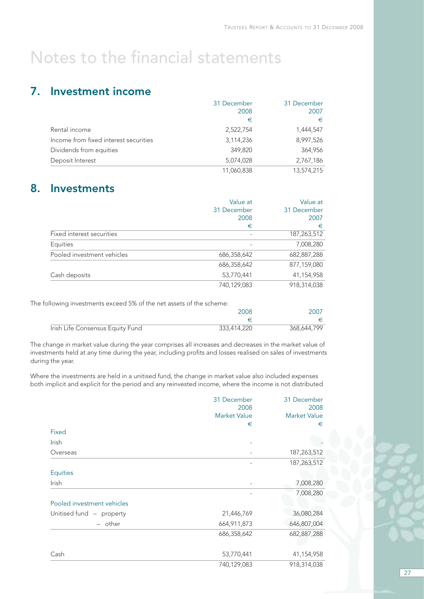### 7. Investment income

|                                       | 31 December | 31 December |
|---------------------------------------|-------------|-------------|
|                                       | 2008        | 2007        |
|                                       | €           | €           |
| Rental income                         | 2,522,754   | 1,444,547   |
| Income from fixed interest securities | 3,114,236   | 8,997,526   |
| Dividends from equities               | 349,820     | 364,956     |
| Deposit Interest                      | 5,074,028   | 2,767,186   |
|                                       | 11,060,838  | 13,574,215  |

### 8. Investments

|                            | Value at    | Value at    |
|----------------------------|-------------|-------------|
|                            | 31 December | 31 December |
|                            | 2008        | 2007        |
|                            | €           | €           |
| Fixed interest securities  |             | 187,263,512 |
| Equities                   |             | 7,008,280   |
| Pooled investment vehicles | 686,358,642 | 682,887,288 |
|                            | 686,358,642 | 877,159,080 |
| Cash deposits              | 53,770,441  | 41,154,958  |
|                            | 740,129,083 | 918,314,038 |

The following investments exceed 5% of the net assets of the scheme:

|                                  | 2008        | 2007        |
|----------------------------------|-------------|-------------|
|                                  |             |             |
| Irish Life Consensus Equity Fund | 333,414,220 | 368,644,799 |

The change in market value during the year comprises all increases and decreases in the market value of investments held at any time during the year, including profits and losses realised on sales of investments during the year.

Where the investments are held in a unitised fund, the change in market value also included expenses both implicit and explicit for the period and any reinvested income, where the income is not distributed

|                            | 31 December<br>2008 | 31 December<br>2008 |
|----------------------------|---------------------|---------------------|
|                            | <b>Market Value</b> | <b>Market Value</b> |
|                            | €                   | €                   |
| Fixed                      |                     |                     |
| <b>Irish</b>               |                     |                     |
| Overseas                   |                     | 187,263,512         |
|                            |                     | 187,263,512         |
| <b>Equities</b>            |                     |                     |
| <b>Irish</b>               |                     | 7,008,280           |
|                            |                     | 7,008,280           |
| Pooled investment vehicles |                     |                     |
| Unitised fund - property   | 21,446,769          | 36,080,284          |
| - other                    | 664,911,873         | 646,807,004         |
|                            | 686,358,642         | 682,887,288         |
|                            |                     |                     |
| Cash                       | 53,770,441          | 41,154,958          |
|                            | 740,129,083         | 918,314,038         |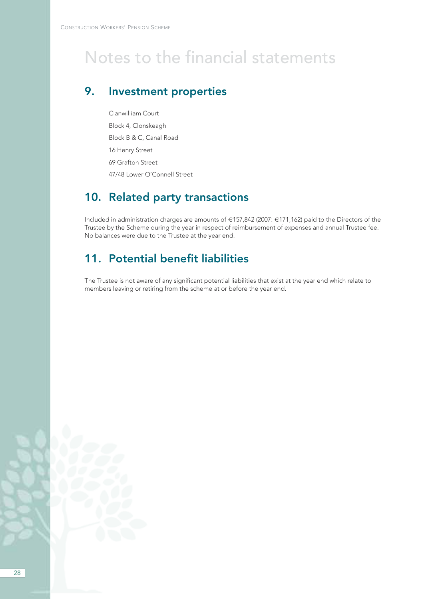### 9. Investment properties

Clanwilliam Court Block 4, Clonskeagh Block B & C, Canal Road 16 Henry Street 69 Grafton Street 47/48 Lower O'Connell Street

### 10. Related party transactions

Included in administration charges are amounts of €157,842 (2007: €171,162) paid to the Directors of the Trustee by the Scheme during the year in respect of reimbursement of expenses and annual Trustee fee. No balances were due to the Trustee at the year end.

### 11. Potential benefit liabilities

The Trustee is not aware of any significant potential liabilities that exist at the year end which relate to members leaving or retiring from the scheme at or before the year end.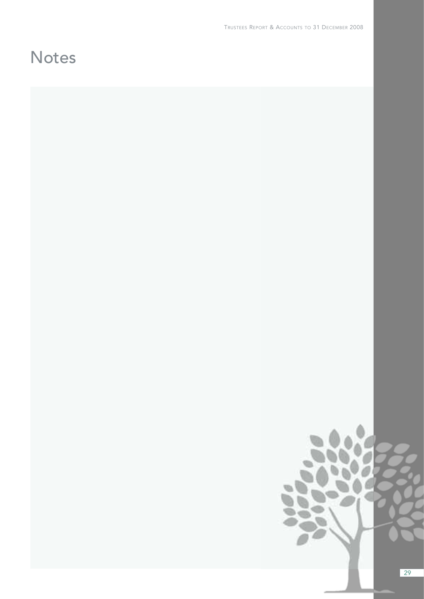# **Notes**



29